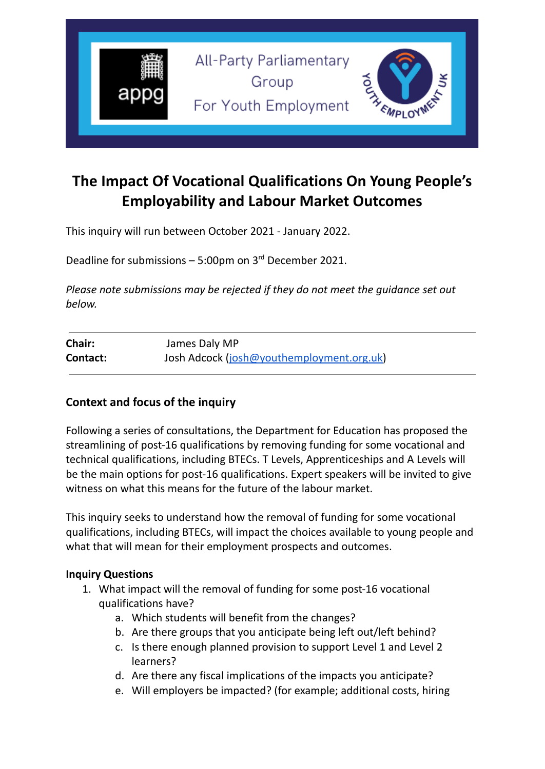

# **The Impact Of Vocational Qualifications On Young People's Employability and Labour Market Outcomes**

This inquiry will run between October 2021 - January 2022.

Deadline for submissions  $-5:00$ pm on  $3<sup>rd</sup>$  December 2021.

*Please note submissions may be rejected if they do not meet the guidance set out below.*

| Chair:   | James Daly MP                             |
|----------|-------------------------------------------|
| Contact: | Josh Adcock (josh@youthemployment.org.uk) |

### **Context and focus of the inquiry**

Following a series of consultations, the Department for Education has proposed the streamlining of post-16 qualifications by removing funding for some vocational and technical qualifications, including BTECs. T Levels, Apprenticeships and A Levels will be the main options for post-16 qualifications. Expert speakers will be invited to give witness on what this means for the future of the labour market.

This inquiry seeks to understand how the removal of funding for some vocational qualifications, including BTECs, will impact the choices available to young people and what that will mean for their employment prospects and outcomes.

#### **Inquiry Questions**

- 1. What impact will the removal of funding for some post-16 vocational qualifications have?
	- a. Which students will benefit from the changes?
	- b. Are there groups that you anticipate being left out/left behind?
	- c. Is there enough planned provision to support Level 1 and Level 2 learners?
	- d. Are there any fiscal implications of the impacts you anticipate?
	- e. Will employers be impacted? (for example; additional costs, hiring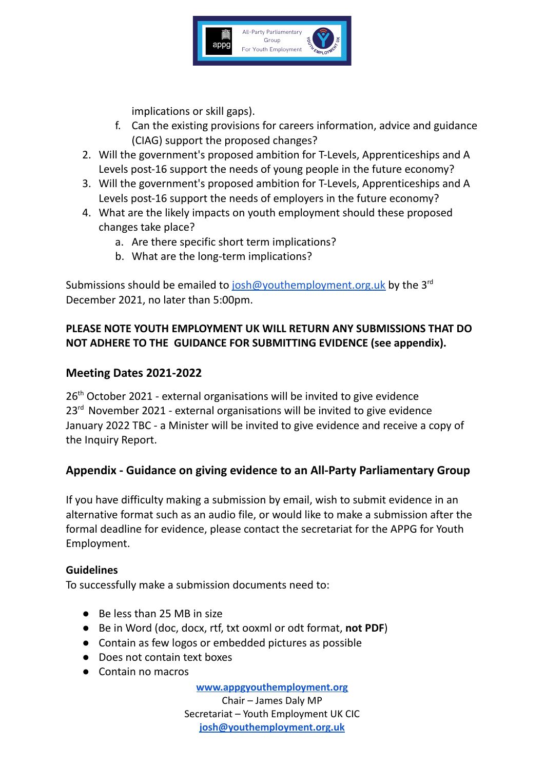

implications or skill gaps).

- f. Can the existing provisions for careers information, advice and guidance (CIAG) support the proposed changes?
- 2. Will the government's proposed ambition for T-Levels, Apprenticeships and A Levels post-16 support the needs of young people in the future economy?
- 3. Will the government's proposed ambition for T-Levels, Apprenticeships and A Levels post-16 support the needs of employers in the future economy?
- 4. What are the likely impacts on youth employment should these proposed changes take place?
	- a. Are there specific short term implications?
	- b. What are the long-term implications?

Submissions should be emailed to [josh@youthemployment.org.uk](mailto:josh@youthemployment.org.uk) by the 3<sup>rd</sup> December 2021, no later than 5:00pm.

## **PLEASE NOTE YOUTH EMPLOYMENT UK WILL RETURN ANY SUBMISSIONS THAT DO NOT ADHERE TO THE GUIDANCE FOR SUBMITTING EVIDENCE (see appendix).**

## **Meeting Dates 2021-2022**

26<sup>th</sup> October 2021 - external organisations will be invited to give evidence 23<sup>rd</sup> November 2021 - external organisations will be invited to give evidence January 2022 TBC - a Minister will be invited to give evidence and receive a copy of the Inquiry Report.

# **Appendix - Guidance on giving evidence to an All-Party Parliamentary Group**

If you have difficulty making a submission by email, wish to submit evidence in an alternative format such as an audio file, or would like to make a submission after the formal deadline for evidence, please contact the secretariat for the APPG for Youth Employment.

### **Guidelines**

To successfully make a submission documents need to:

- Be less than 25 MB in size
- Be in Word (doc, docx, rtf, txt ooxml or odt format, **not PDF**)
- Contain as few logos or embedded pictures as possible
- Does not contain text boxes
- Contain no macros

**[www.appgyouthemployment.org](http://www.appgyouthemployment.org)** Chair – James Daly MP Secretariat – Youth Employment UK CIC **[josh@youthemployment.org.uk](mailto:josh@youthemployment.org.uk)**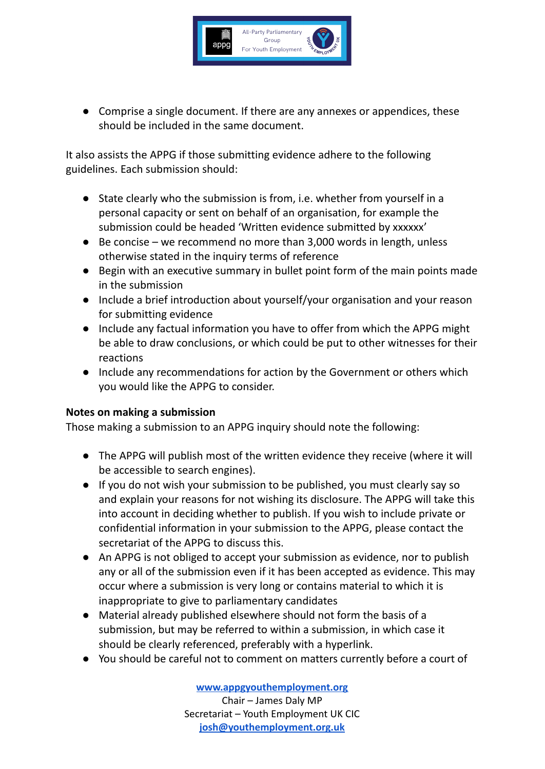

● Comprise a single document. If there are any annexes or appendices, these should be included in the same document.

It also assists the APPG if those submitting evidence adhere to the following guidelines. Each submission should:

- State clearly who the submission is from, i.e. whether from yourself in a personal capacity or sent on behalf of an organisation, for example the submission could be headed 'Written evidence submitted by xxxxxx'
- Be concise we recommend no more than 3,000 words in length, unless otherwise stated in the inquiry terms of reference
- Begin with an executive summary in bullet point form of the main points made in the submission
- Include a brief introduction about yourself/your organisation and your reason for submitting evidence
- Include any factual information you have to offer from which the APPG might be able to draw conclusions, or which could be put to other witnesses for their reactions
- Include any recommendations for action by the Government or others which you would like the APPG to consider.

#### **Notes on making a submission**

Those making a submission to an APPG inquiry should note the following:

- The APPG will publish most of the written evidence they receive (where it will be accessible to search engines).
- If you do not wish your submission to be published, you must clearly say so and explain your reasons for not wishing its disclosure. The APPG will take this into account in deciding whether to publish. If you wish to include private or confidential information in your submission to the APPG, please contact the secretariat of the APPG to discuss this.
- An APPG is not obliged to accept your submission as evidence, nor to publish any or all of the submission even if it has been accepted as evidence. This may occur where a submission is very long or contains material to which it is inappropriate to give to parliamentary candidates
- Material already published elsewhere should not form the basis of a submission, but may be referred to within a submission, in which case it should be clearly referenced, preferably with a hyperlink.
- You should be careful not to comment on matters currently before a court of

**[www.appgyouthemployment.org](http://www.appgyouthemployment.org)** Chair – James Daly MP Secretariat – Youth Employment UK CIC **[josh@youthemployment.org.uk](mailto:josh@youthemployment.org.uk)**